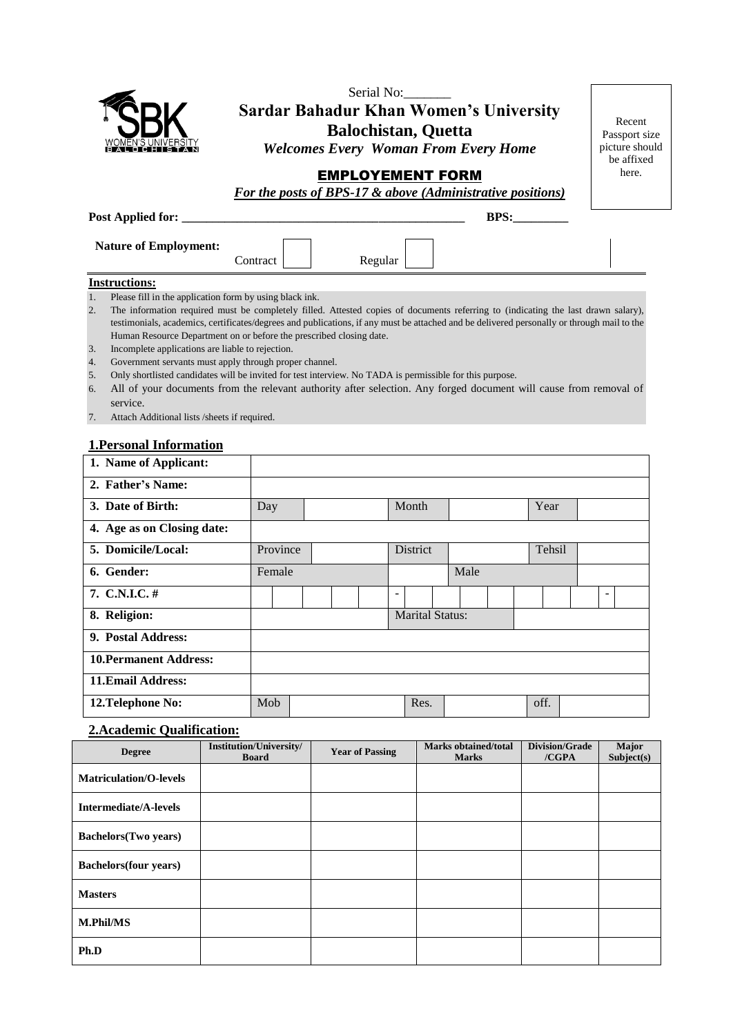

Serial No: **Sardar Bahadur Khan Women's University Balochistan, Quetta** *Welcomes Every Woman From Every Home*

Recent Passport size picture should be affixed here.

### EMPLOYEMENT FORM

*For the posts of BPS-17 & above (Administrative positions)*

| <b>Post Applied for:</b>     |  |  |
|------------------------------|--|--|
| <b>Nature of Employment:</b> |  |  |

Regular

#### **Instructions:**

1. Please fill in the application form by using black ink.

Contract

- 2. The information required must be completely filled. Attested copies of documents referring to (indicating the last drawn salary), testimonials, academics, certificates/degrees and publications, if any must be attached and be delivered personally or through mail to the Human Resource Department on or before the prescribed closing date.
- 3. Incomplete applications are liable to rejection.
- 4. Government servants must apply through proper channel.
- 5. Only shortlisted candidates will be invited for test interview. No TADA is permissible for this purpose.
- 6. All of your documents from the relevant authority after selection. Any forged document will cause from removal of service.
- 7. Attach Additional lists /sheets if required.

#### **1.Personal Information**

| 1. Name of Applicant:         |          |  |                          |                        |      |      |        |   |  |
|-------------------------------|----------|--|--------------------------|------------------------|------|------|--------|---|--|
| 2. Father's Name:             |          |  |                          |                        |      |      |        |   |  |
| 3. Date of Birth:             | Day      |  |                          | Month                  |      | Year |        |   |  |
| 4. Age as on Closing date:    |          |  |                          |                        |      |      |        |   |  |
| 5. Domicile/Local:            | Province |  |                          | District               |      |      | Tehsil |   |  |
| 6. Gender:                    | Female   |  |                          |                        | Male |      |        |   |  |
| 7. C.N.I.C. $#$               |          |  | $\overline{\phantom{a}}$ |                        |      |      |        | ۰ |  |
| 8. Religion:                  |          |  |                          | <b>Marital Status:</b> |      |      |        |   |  |
| 9. Postal Address:            |          |  |                          |                        |      |      |        |   |  |
| <b>10. Permanent Address:</b> |          |  |                          |                        |      |      |        |   |  |
| <b>11.Email Address:</b>      |          |  |                          |                        |      |      |        |   |  |
| 12. Telephone No:             | Mob      |  |                          | Res.                   |      | off. |        |   |  |

#### **2.Academic Qualification:**

| <b>Degree</b>                 | Institution/University/<br><b>Board</b> | <b>Year of Passing</b> | <b>Marks obtained/total</b><br><b>Marks</b> | <b>Division/Grade</b><br>/CGPA | Major<br>Subject(s) |
|-------------------------------|-----------------------------------------|------------------------|---------------------------------------------|--------------------------------|---------------------|
| <b>Matriculation/O-levels</b> |                                         |                        |                                             |                                |                     |
| <b>Intermediate/A-levels</b>  |                                         |                        |                                             |                                |                     |
| <b>Bachelors</b> (Two years)  |                                         |                        |                                             |                                |                     |
| <b>Bachelors(four years)</b>  |                                         |                        |                                             |                                |                     |
| <b>Masters</b>                |                                         |                        |                                             |                                |                     |
| <b>M.Phil/MS</b>              |                                         |                        |                                             |                                |                     |
| Ph.D                          |                                         |                        |                                             |                                |                     |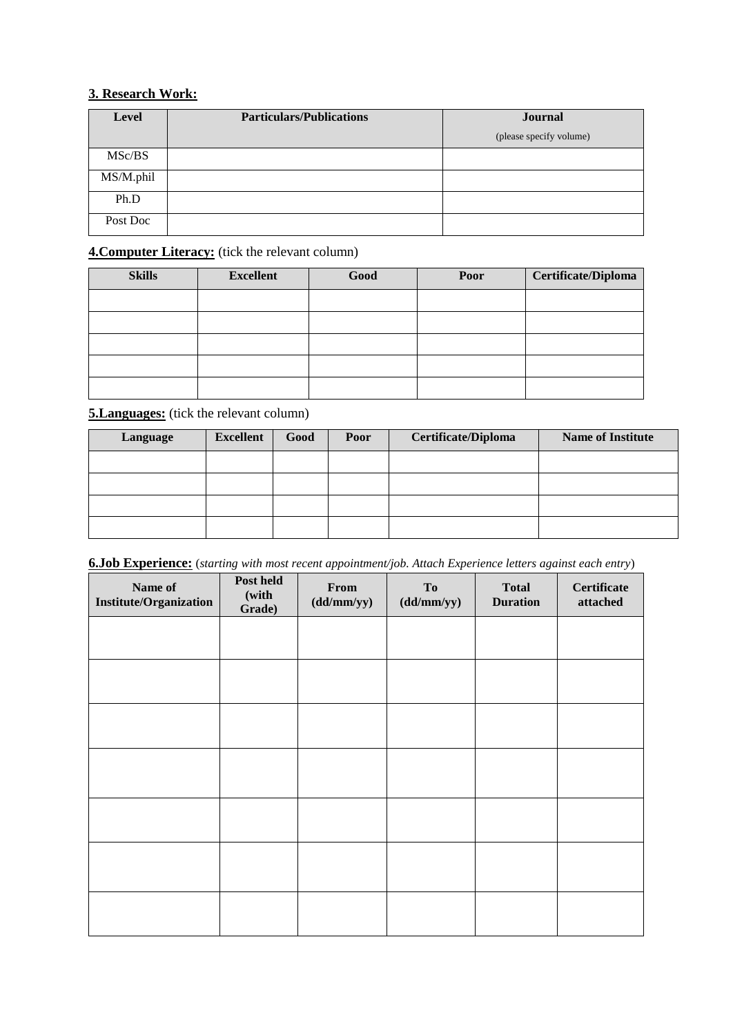## **3. Research Work:**

| <b>Level</b> | <b>Particulars/Publications</b> | <b>Journal</b>          |
|--------------|---------------------------------|-------------------------|
|              |                                 | (please specify volume) |
| MSc/BS       |                                 |                         |
| MS/M.phil    |                                 |                         |
| Ph.D         |                                 |                         |
| Post Doc     |                                 |                         |

## **4. Computer Literacy:** (tick the relevant column)

| <b>Skills</b> | <b>Excellent</b> | Good | Poor | Certificate/Diploma |
|---------------|------------------|------|------|---------------------|
|               |                  |      |      |                     |
|               |                  |      |      |                     |
|               |                  |      |      |                     |
|               |                  |      |      |                     |
|               |                  |      |      |                     |

## **5.Languages:** (tick the relevant column)

| Language | <b>Excellent</b> | Good | Poor | <b>Certificate/Diploma</b> | <b>Name of Institute</b> |
|----------|------------------|------|------|----------------------------|--------------------------|
|          |                  |      |      |                            |                          |
|          |                  |      |      |                            |                          |
|          |                  |      |      |                            |                          |
|          |                  |      |      |                            |                          |

÷,

|  | 6.Job Experience: (starting with most recent appointment/job. Attach Experience letters against each entry) |  |  |  |  |
|--|-------------------------------------------------------------------------------------------------------------|--|--|--|--|
|--|-------------------------------------------------------------------------------------------------------------|--|--|--|--|

| Name of<br><b>Institute/Organization</b> | Post held<br>(with<br>Grade) | From<br>(dd/mm/yy) | <b>To</b><br>(dd/mm/yy) | <b>Total</b><br><b>Duration</b> | <b>Certificate</b><br>attached |
|------------------------------------------|------------------------------|--------------------|-------------------------|---------------------------------|--------------------------------|
|                                          |                              |                    |                         |                                 |                                |
|                                          |                              |                    |                         |                                 |                                |
|                                          |                              |                    |                         |                                 |                                |
|                                          |                              |                    |                         |                                 |                                |
|                                          |                              |                    |                         |                                 |                                |
|                                          |                              |                    |                         |                                 |                                |
|                                          |                              |                    |                         |                                 |                                |
|                                          |                              |                    |                         |                                 |                                |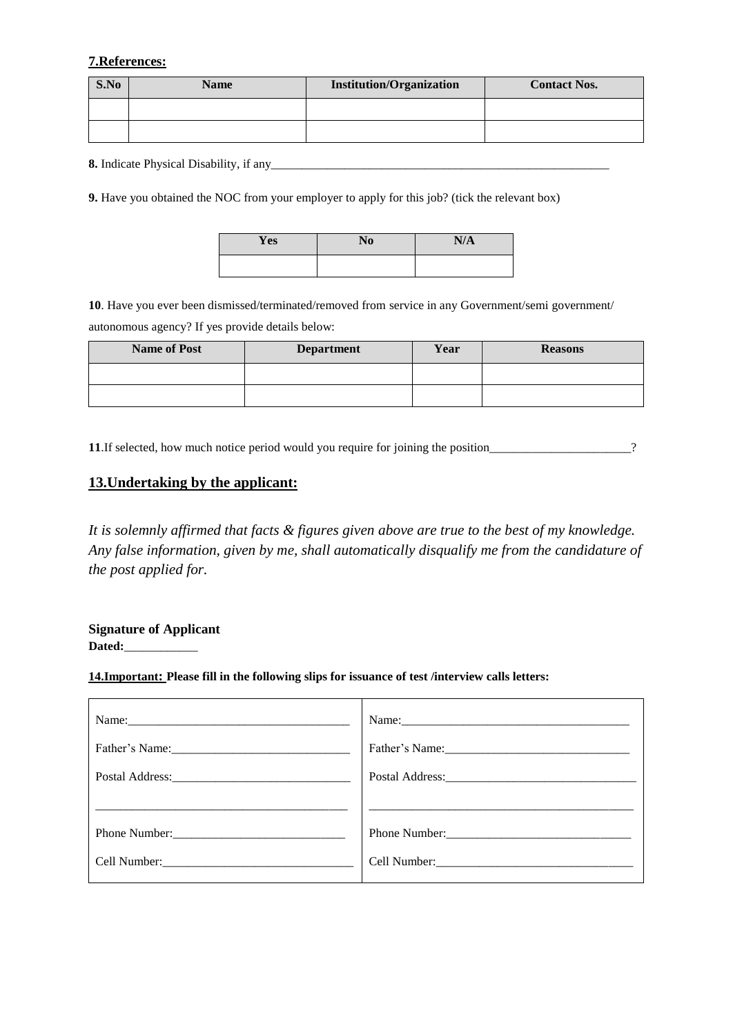#### **7.References:**

| S.No | <b>Name</b> | <b>Institution/Organization</b> | <b>Contact Nos.</b> |
|------|-------------|---------------------------------|---------------------|
|      |             |                                 |                     |
|      |             |                                 |                     |

**8.** Indicate Physical Disability, if any

**9.** Have you obtained the NOC from your employer to apply for this job? (tick the relevant box)

| Yes | N <sub>0</sub> | N/A |
|-----|----------------|-----|
|     |                |     |

10. Have you ever been dismissed/terminated/removed from service in any Government/semi government/ autonomous agency? If yes provide details below:

| <b>Name of Post</b> | <b>Department</b> | Year | <b>Reasons</b> |
|---------------------|-------------------|------|----------------|
|                     |                   |      |                |
|                     |                   |      |                |

**11**.If selected, how much notice period would you require for joining the position\_\_\_\_\_\_\_\_\_\_\_\_\_\_\_\_\_\_\_\_\_\_?

#### **13.Undertaking by the applicant:**

*It is solemnly affirmed that facts & figures given above are true to the best of my knowledge. Any false information, given by me, shall automatically disqualify me from the candidature of the post applied for.*

**Signature of Applicant Dated:**\_\_\_\_\_\_\_\_\_\_\_\_

 $\mathbf{r}$ 

**14.Important: Please fill in the following slips for issuance of test /interview calls letters:**

| Name:          |               |
|----------------|---------------|
| Father's Name: |               |
|                |               |
|                |               |
|                | Phone Number: |
|                |               |
|                |               |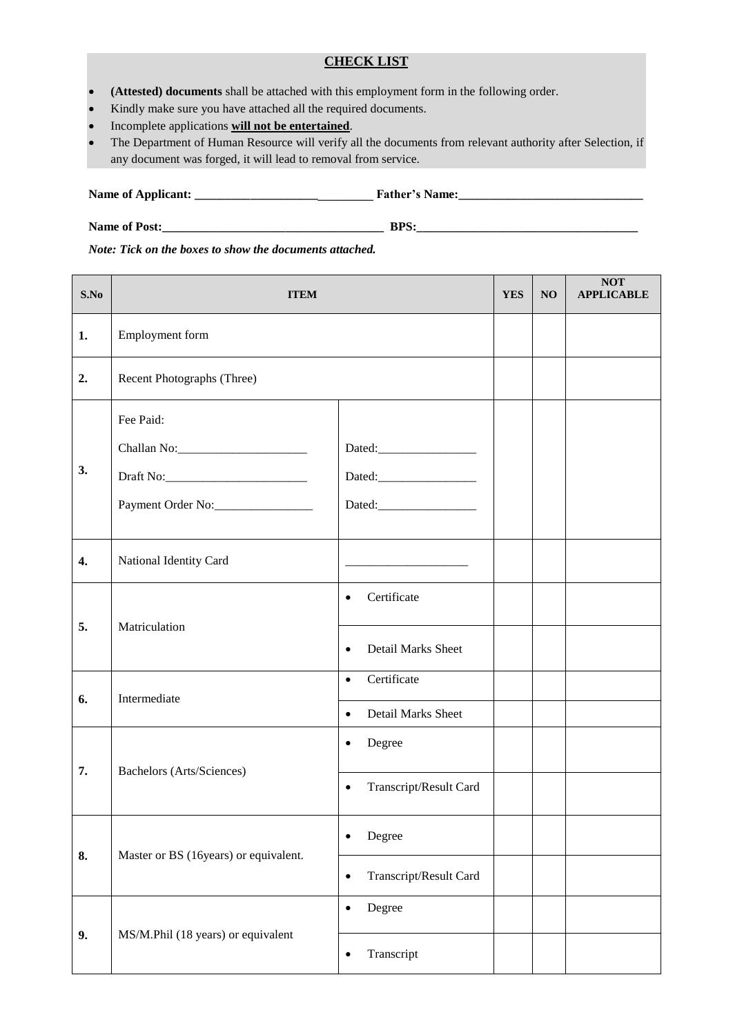#### **CHECK LIST**

- **(Attested) documents** shall be attached with this employment form in the following order.
- Kindly make sure you have attached all the required documents.
- Incomplete applications **will not be entertained**.
- The Department of Human Resource will verify all the documents from relevant authority after Selection, if any document was forged, it will lead to removal from service.

**Name of Applicant: \_\_\_\_\_\_\_\_\_\_\_\_\_\_\_\_\_\_\_\_\_\_\_\_\_\_\_\_\_ Father's Name:\_\_\_\_\_\_\_\_\_\_\_\_\_\_\_\_\_\_\_\_\_\_\_\_\_\_\_\_\_\_** 

**Name of Post:\_\_\_\_\_\_\_\_\_\_\_\_\_\_\_\_\_\_\_\_\_\_\_\_\_\_\_\_\_\_\_\_\_\_\_\_ BPS:\_\_\_\_\_\_\_\_\_\_\_\_\_\_\_\_\_\_\_\_\_\_\_\_\_\_\_\_\_\_\_\_\_\_\_\_**

*Note: Tick on the boxes to show the documents attached.*

| S.No | <b>ITEM</b>                           |                                     |  | NO | <b>NOT</b><br><b>APPLICABLE</b> |
|------|---------------------------------------|-------------------------------------|--|----|---------------------------------|
| 1.   | Employment form                       |                                     |  |    |                                 |
| 2.   | Recent Photographs (Three)            |                                     |  |    |                                 |
|      | Fee Paid:                             |                                     |  |    |                                 |
| 3.   |                                       |                                     |  |    |                                 |
|      |                                       |                                     |  |    |                                 |
|      | Payment Order No:                     |                                     |  |    |                                 |
| 4.   | National Identity Card                |                                     |  |    |                                 |
| 5.   | Matriculation                         | Certificate<br>$\bullet$            |  |    |                                 |
|      |                                       |                                     |  |    |                                 |
|      |                                       | Detail Marks Sheet<br>$\bullet$     |  |    |                                 |
| 6.   | Intermediate                          | Certificate<br>$\bullet$            |  |    |                                 |
|      |                                       | Detail Marks Sheet<br>$\bullet$     |  |    |                                 |
| 7.   | Bachelors (Arts/Sciences)             | Degree<br>$\bullet$                 |  |    |                                 |
|      |                                       |                                     |  |    |                                 |
|      |                                       | Transcript/Result Card<br>$\bullet$ |  |    |                                 |
| 8.   | Master or BS (16years) or equivalent. | Degree<br>٠                         |  |    |                                 |
|      |                                       | Transcript/Result Card<br>$\bullet$ |  |    |                                 |
| 9.   | MS/M.Phil (18 years) or equivalent    | Degree<br>$\bullet$                 |  |    |                                 |
|      |                                       | Transcript<br>$\bullet$             |  |    |                                 |